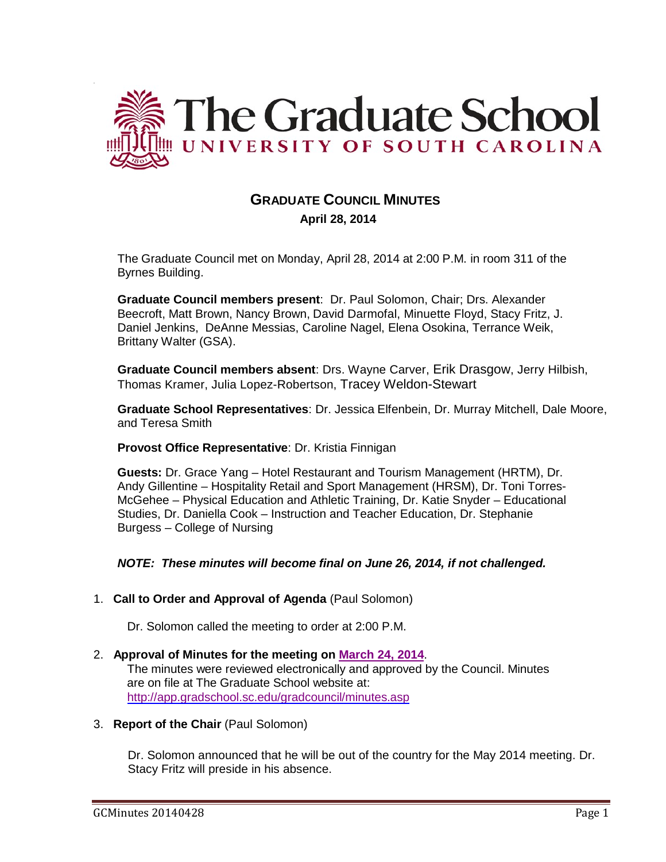

# **GRADUATE COUNCIL MINUTES**

 **April 28, 2014**

The Graduate Council met on Monday, April 28, 2014 at 2:00 P.M. in room 311 of the Byrnes Building.

**Graduate Council members present**: Dr. Paul Solomon, Chair; Drs. Alexander Beecroft, Matt Brown, Nancy Brown, David Darmofal, Minuette Floyd, Stacy Fritz, J. Daniel Jenkins, DeAnne Messias, Caroline Nagel, Elena Osokina, Terrance Weik, Brittany Walter (GSA).

**Graduate Council members absent**: Drs. Wayne Carver, Erik Drasgow, Jerry Hilbish, Thomas Kramer, Julia Lopez-Robertson, Tracey Weldon-Stewart

**Graduate School Representatives**: Dr. Jessica Elfenbein, Dr. Murray Mitchell, Dale Moore, and Teresa Smith

### **Provost Office Representative**: Dr. Kristia Finnigan

**Guests:** Dr. Grace Yang – Hotel Restaurant and Tourism Management (HRTM), Dr. Andy Gillentine – Hospitality Retail and Sport Management (HRSM), Dr. Toni Torres-McGehee – Physical Education and Athletic Training, Dr. Katie Snyder – Educational Studies, Dr. Daniella Cook – Instruction and Teacher Education, Dr. Stephanie Burgess – College of Nursing

### *NOTE: These minutes will become final on June 26, 2014, if not challenged.*

### 1. **Call to Order and Approval of Agenda** (Paul Solomon)

Dr. Solomon called the meeting to order at 2:00 P.M.

#### 2. **Approval of Minutes for the meeting on March 24, 2014**. The minutes were reviewed electronically and approved by the Council. Minutes are on file at The Graduate School website at: <http://app.gradschool.sc.edu/gradcouncil/minutes.asp>

#### 3. **Report of the Chair** (Paul Solomon)

Dr. Solomon announced that he will be out of the country for the May 2014 meeting. Dr. Stacy Fritz will preside in his absence.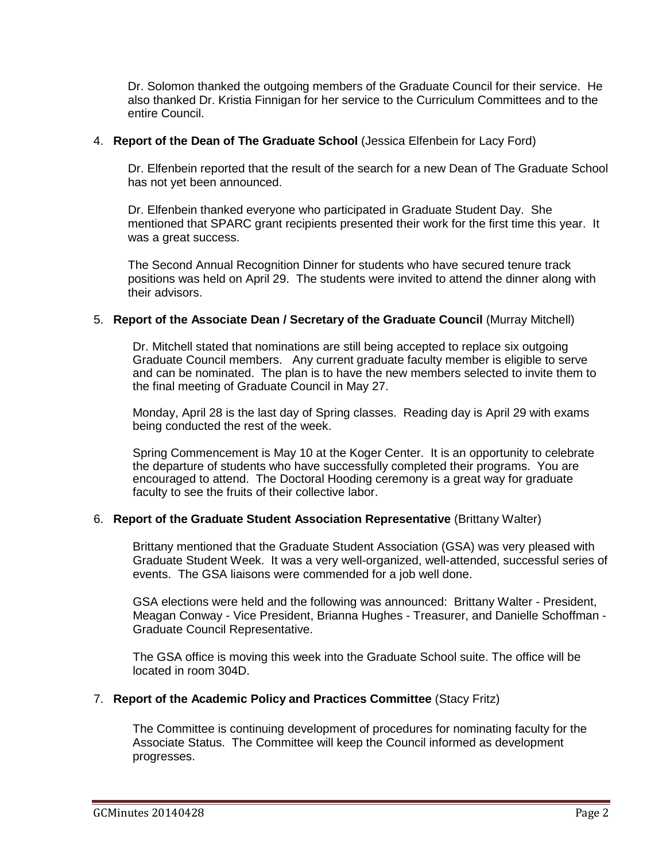Dr. Solomon thanked the outgoing members of the Graduate Council for their service. He also thanked Dr. Kristia Finnigan for her service to the Curriculum Committees and to the entire Council.

#### 4. **Report of the Dean of The Graduate School** (Jessica Elfenbein for Lacy Ford)

Dr. Elfenbein reported that the result of the search for a new Dean of The Graduate School has not yet been announced.

Dr. Elfenbein thanked everyone who participated in Graduate Student Day. She mentioned that SPARC grant recipients presented their work for the first time this year. It was a great success.

The Second Annual Recognition Dinner for students who have secured tenure track positions was held on April 29. The students were invited to attend the dinner along with their advisors.

#### 5. **Report of the Associate Dean / Secretary of the Graduate Council** (Murray Mitchell)

Dr. Mitchell stated that nominations are still being accepted to replace six outgoing Graduate Council members. Any current graduate faculty member is eligible to serve and can be nominated. The plan is to have the new members selected to invite them to the final meeting of Graduate Council in May 27.

Monday, April 28 is the last day of Spring classes. Reading day is April 29 with exams being conducted the rest of the week.

Spring Commencement is May 10 at the Koger Center. It is an opportunity to celebrate the departure of students who have successfully completed their programs. You are encouraged to attend. The Doctoral Hooding ceremony is a great way for graduate faculty to see the fruits of their collective labor.

#### 6. **Report of the Graduate Student Association Representative** (Brittany Walter)

Brittany mentioned that the Graduate Student Association (GSA) was very pleased with Graduate Student Week. It was a very well-organized, well-attended, successful series of events. The GSA liaisons were commended for a job well done.

GSA elections were held and the following was announced: Brittany Walter - President, Meagan Conway - Vice President, Brianna Hughes - Treasurer, and Danielle Schoffman - Graduate Council Representative.

The GSA office is moving this week into the Graduate School suite. The office will be located in room 304D.

#### 7. **Report of the Academic Policy and Practices Committee** (Stacy Fritz)

The Committee is continuing development of procedures for nominating faculty for the Associate Status. The Committee will keep the Council informed as development progresses.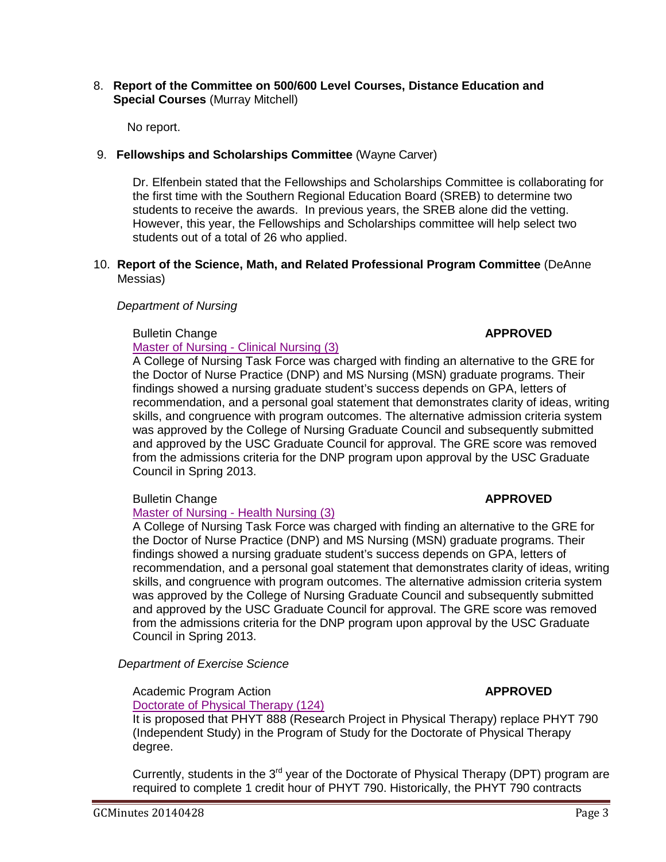#### 8. **Report of the Committee on 500/600 Level Courses, Distance Education and Special Courses** (Murray Mitchell)

No report.

## 9. **Fellowships and Scholarships Committee** (Wayne Carver)

Dr. Elfenbein stated that the Fellowships and Scholarships Committee is collaborating for the first time with the Southern Regional Education Board (SREB) to determine two students to receive the awards. In previous years, the SREB alone did the vetting. However, this year, the Fellowships and Scholarships committee will help select two students out of a total of 26 who applied.

#### 10. **Report of the Science, Math, and Related Professional Program Committee** (DeAnne Messias)

### *Department of Nursing*

### **Bulletin Change <b>APPROVED APPROVED**

[Master of Nursing -](http://gradschool.sc.edu/facstaff/gradcouncil/2013/Master%20of%20Nursing-Clinical%20BCH_Redacted.pdf) Clinical Nursing (3)

A College of Nursing Task Force was charged with finding an alternative to the GRE for the Doctor of Nurse Practice (DNP) and MS Nursing (MSN) graduate programs. Their findings showed a nursing graduate student's success depends on GPA, letters of recommendation, and a personal goal statement that demonstrates clarity of ideas, writing skills, and congruence with program outcomes. The alternative admission criteria system was approved by the College of Nursing Graduate Council and subsequently submitted and approved by the USC Graduate Council for approval. The GRE score was removed from the admissions criteria for the DNP program upon approval by the USC Graduate Council in Spring 2013.

# **Bulletin Change APPROVED**

# [Master of Nursing -](http://gradschool.sc.edu/facstaff/gradcouncil/2013/Master%20of%20Nursing-Health%20BCH_Redacted.pdf) Health Nursing (3)

A College of Nursing Task Force was charged with finding an alternative to the GRE for the Doctor of Nurse Practice (DNP) and MS Nursing (MSN) graduate programs. Their findings showed a nursing graduate student's success depends on GPA, letters of recommendation, and a personal goal statement that demonstrates clarity of ideas, writing skills, and congruence with program outcomes. The alternative admission criteria system was approved by the College of Nursing Graduate Council and subsequently submitted and approved by the USC Graduate Council for approval. The GRE score was removed from the admissions criteria for the DNP program upon approval by the USC Graduate Council in Spring 2013.

*Department of Exercise Science*

# Academic Program Action **APPROVED**

[Doctorate of Physical Therapy \(124\)](http://gradschool.sc.edu/facstaff/gradcouncil/2013/APA%20EX%20SCI%20DPT_Redacted.pdf) It is proposed that PHYT 888 (Research Project in Physical Therapy) replace PHYT 790 (Independent Study) in the Program of Study for the Doctorate of Physical Therapy degree.

Currently, students in the  $3<sup>rd</sup>$  year of the Doctorate of Physical Therapy (DPT) program are required to complete 1 credit hour of PHYT 790. Historically, the PHYT 790 contracts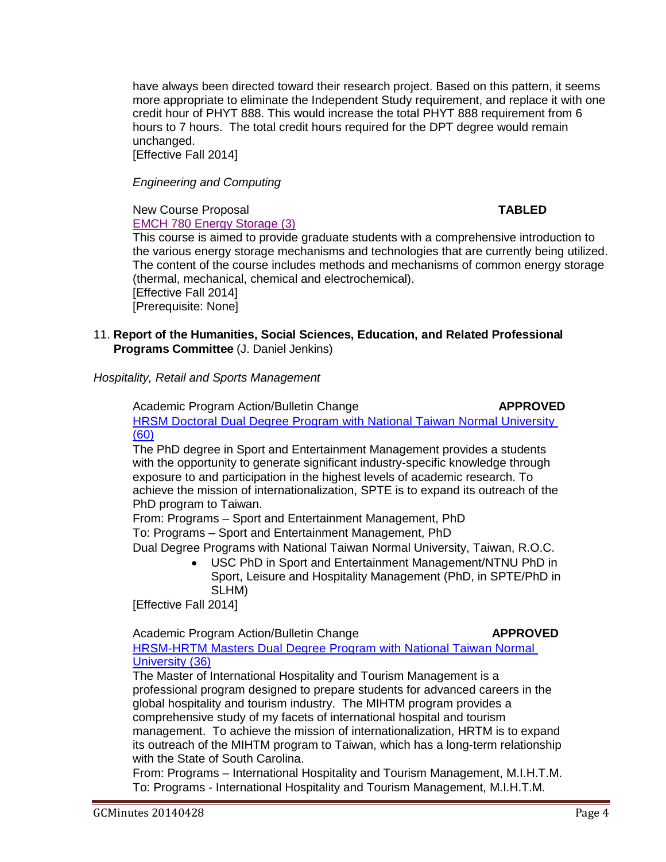have always been directed toward their research project. Based on this pattern, it seems more appropriate to eliminate the Independent Study requirement, and replace it with one credit hour of PHYT 888. This would increase the total PHYT 888 requirement from 6 hours to 7 hours. The total credit hours required for the DPT degree would remain unchanged. [Effective Fall 2014]

*Engineering and Computing*

#### New Course Proposal **TABLED** [EMCH 780 Energy Storage \(3\)](http://gradschool.sc.edu/facstaff/gradcouncil/2013/EMCH%20780%20NCP_Redacted.pdf)

This course is aimed to provide graduate students with a comprehensive introduction to the various energy storage mechanisms and technologies that are currently being utilized. The content of the course includes methods and mechanisms of common energy storage (thermal, mechanical, chemical and electrochemical). [Effective Fall 2014] [Prerequisite: None]

11. **Report of the Humanities, Social Sciences, Education, and Related Professional Programs Committee** (J. Daniel Jenkins)

*Hospitality, Retail and Sports Management*

Academic Program Action/Bulletin Change **APPROVED** [HRSM Doctoral Dual Degree Program with National Taiwan Normal University](http://gradschool.sc.edu/facstaff/gradcouncil/2013/HRSM%20APA%20JUS%20-%20SPTE%20PhD%20Dual%20Degree%20Program%20with%20Nat%20Taiwan%20Normal%20Univ%20REVISED%204-16_Redacted.pdf) (60)

The PhD degree in Sport and Entertainment Management provides a students with the opportunity to generate significant industry-specific knowledge through exposure to and participation in the highest levels of academic research. To achieve the mission of internationalization, SPTE is to expand its outreach of the PhD program to Taiwan.

From: Programs – Sport and Entertainment Management, PhD To: Programs – Sport and Entertainment Management, PhD

Dual Degree Programs with National Taiwan Normal University, Taiwan, R.O.C.

• USC PhD in Sport and Entertainment Management/NTNU PhD in Sport, Leisure and Hospitality Management (PhD, in SPTE/PhD in SLHM)

[Effective Fall 2014]

Academic Program Action/Bulletin Change **APPROVED**

[HRSM-HRTM Masters Dual Degree Program with National Taiwan Normal](http://gradschool.sc.edu/facstaff/gradcouncil/2013/HRSM-HRTM%20Masters%20Dual%20APA%20JUS%20-%20HRTM%20Masters%20Dual%20Degree%20Program%20with%20Nat%20Taiwan%20Normal%20Univ%20REVISED_Redacted.pdf)  [University](http://gradschool.sc.edu/facstaff/gradcouncil/2013/HRSM-HRTM%20Masters%20Dual%20APA%20JUS%20-%20HRTM%20Masters%20Dual%20Degree%20Program%20with%20Nat%20Taiwan%20Normal%20Univ%20REVISED_Redacted.pdf) (36)

The Master of International Hospitality and Tourism Management is a professional program designed to prepare students for advanced careers in the global hospitality and tourism industry. The MIHTM program provides a comprehensive study of my facets of international hospital and tourism management. To achieve the mission of internationalization, HRTM is to expand its outreach of the MIHTM program to Taiwan, which has a long-term relationship with the State of South Carolina.

From: Programs – International Hospitality and Tourism Management, M.I.H.T.M. To: Programs - International Hospitality and Tourism Management, M.I.H.T.M.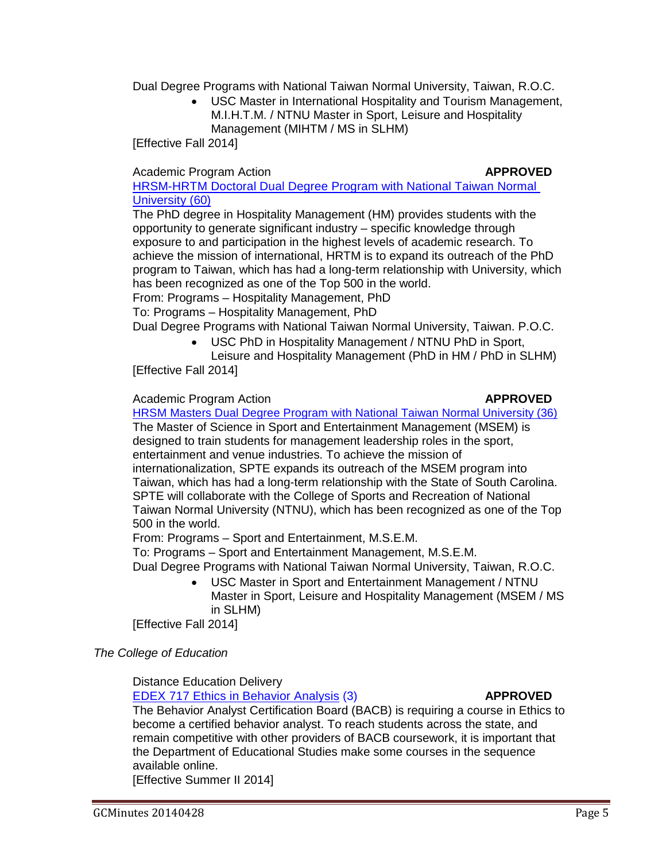Dual Degree Programs with National Taiwan Normal University, Taiwan, R.O.C.

• USC Master in International Hospitality and Tourism Management, M.I.H.T.M. / NTNU Master in Sport, Leisure and Hospitality Management (MIHTM / MS in SLHM)

[Effective Fall 2014]

### Academic Program Action **APPROVED**

[HRSM-HRTM Doctoral Dual Degree Program with National Taiwan Normal](http://gradschool.sc.edu/facstaff/gradcouncil/2013/HRSM-HRTM%20Doctoral%20Dual%20Degree%20Program%20w%20National%20TNU%20SEM%20revised_Redacted.pdf)  [University](http://gradschool.sc.edu/facstaff/gradcouncil/2013/HRSM-HRTM%20Doctoral%20Dual%20Degree%20Program%20w%20National%20TNU%20SEM%20revised_Redacted.pdf) (60)

The PhD degree in Hospitality Management (HM) provides students with the opportunity to generate significant industry – specific knowledge through exposure to and participation in the highest levels of academic research. To achieve the mission of international, HRTM is to expand its outreach of the PhD program to Taiwan, which has had a long-term relationship with University, which has been recognized as one of the Top 500 in the world.

From: Programs – Hospitality Management, PhD

To: Programs – Hospitality Management, PhD

Dual Degree Programs with National Taiwan Normal University, Taiwan. P.O.C.

• USC PhD in Hospitality Management / NTNU PhD in Sport,

Leisure and Hospitality Management (PhD in HM / PhD in SLHM) [Effective Fall 2014]

### Academic Program Action **ACCOUNTY APPROVED**

[HRSM Masters Dual Degree Program with National Taiwan Normal University](http://gradschool.sc.edu/facstaff/gradcouncil/2013/HRSM%20Masters%20Dual%20APA%20JUS%20-%20SPTE%20Masters%20Dual%20Degree%20Program%20with%20Nat%20Taiwan%20Normal%20Univ%20REVISED_Redacted.pdf) (36) The Master of Science in Sport and Entertainment Management (MSEM) is designed to train students for management leadership roles in the sport, entertainment and venue industries. To achieve the mission of internationalization, SPTE expands its outreach of the MSEM program into Taiwan, which has had a long-term relationship with the State of South Carolina. SPTE will collaborate with the College of Sports and Recreation of National Taiwan Normal University (NTNU), which has been recognized as one of the Top 500 in the world.

From: Programs – Sport and Entertainment, M.S.E.M.

To: Programs – Sport and Entertainment Management, M.S.E.M.

Dual Degree Programs with National Taiwan Normal University, Taiwan, R.O.C.

• USC Master in Sport and Entertainment Management / NTNU Master in Sport, Leisure and Hospitality Management (MSEM / MS in SLHM)

[Effective Fall 2014]

*The College of Education*

Distance Education Delivery

[EDEX 717 Ethics in Behavior Analysis](http://gradschool.sc.edu/facstaff/gradcouncil/2013/EDEX%20717%20DED_Redacted.pdf) (3) **APPROVED**

The Behavior Analyst Certification Board (BACB) is requiring a course in Ethics to become a certified behavior analyst. To reach students across the state, and remain competitive with other providers of BACB coursework, it is important that the Department of Educational Studies make some courses in the sequence available online.

[Effective Summer II 2014]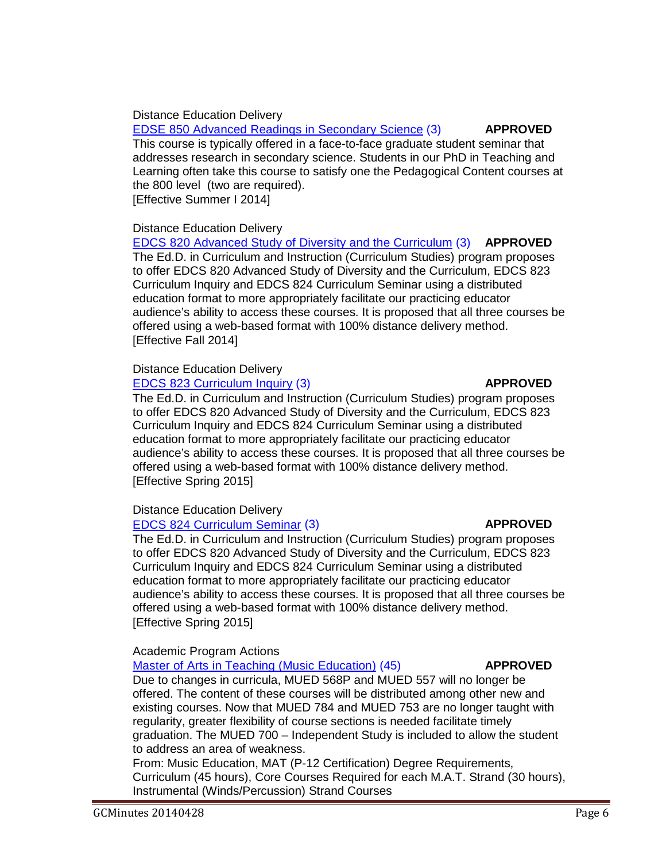Distance Education Delivery [EDSE 850 Advanced Readings in Secondary Science](http://gradschool.sc.edu/facstaff/gradcouncil/2013/EDSE%20850%20DED_Redacted.pdf) (3) **APPROVED** This course is typically offered in a face-to-face graduate student seminar that addresses research in secondary science. Students in our PhD in Teaching and Learning often take this course to satisfy one the Pedagogical Content courses at the 800 level (two are required). [Effective Summer I 2014]

Distance Education Delivery

[EDCS 820 Advanced Study of Diversity and the Curriculum](http://gradschool.sc.edu/facstaff/gradcouncil/2013/EDCS%20820%20DED_Redacted.pdf) (3) **APPROVED** The Ed.D. in Curriculum and Instruction (Curriculum Studies) program proposes to offer EDCS 820 Advanced Study of Diversity and the Curriculum, EDCS 823 Curriculum Inquiry and EDCS 824 Curriculum Seminar using a distributed education format to more appropriately facilitate our practicing educator audience's ability to access these courses. It is proposed that all three courses be offered using a web-based format with 100% distance delivery method. [Effective Fall 2014]

# Distance Education Delivery

[EDCS 823 Curriculum Inquiry](http://gradschool.sc.edu/facstaff/gradcouncil/2013/EDCS%20823%20DED_Redacted.pdf) (3) **APPROVED**

The Ed.D. in Curriculum and Instruction (Curriculum Studies) program proposes to offer EDCS 820 Advanced Study of Diversity and the Curriculum, EDCS 823 Curriculum Inquiry and EDCS 824 Curriculum Seminar using a distributed education format to more appropriately facilitate our practicing educator audience's ability to access these courses. It is proposed that all three courses be offered using a web-based format with 100% distance delivery method. [Effective Spring 2015]

# Distance Education Delivery

### [EDCS 824 Curriculum Seminar](http://gradschool.sc.edu/facstaff/gradcouncil/2013/EDCS%20824%20DED_Redacted.pdf) (3) **APPROVED**

The Ed.D. in Curriculum and Instruction (Curriculum Studies) program proposes to offer EDCS 820 Advanced Study of Diversity and the Curriculum, EDCS 823 Curriculum Inquiry and EDCS 824 Curriculum Seminar using a distributed education format to more appropriately facilitate our practicing educator audience's ability to access these courses. It is proposed that all three courses be offered using a web-based format with 100% distance delivery method. [Effective Spring 2015]

Academic Program Actions

[Master of Arts in Teaching \(Music Education\)](http://gradschool.sc.edu/facstaff/gradcouncil/2013/Master%20of%20Arts%20in%20Teaching%20(Music%20Education)%20APA_Redacted.pdf) (45) **APPROVED**

Due to changes in curricula, MUED 568P and MUED 557 will no longer be offered. The content of these courses will be distributed among other new and existing courses. Now that MUED 784 and MUED 753 are no longer taught with regularity, greater flexibility of course sections is needed facilitate timely graduation. The MUED 700 – Independent Study is included to allow the student to address an area of weakness.

From: Music Education, MAT (P-12 Certification) Degree Requirements, Curriculum (45 hours), Core Courses Required for each M.A.T. Strand (30 hours), Instrumental (Winds/Percussion) Strand Courses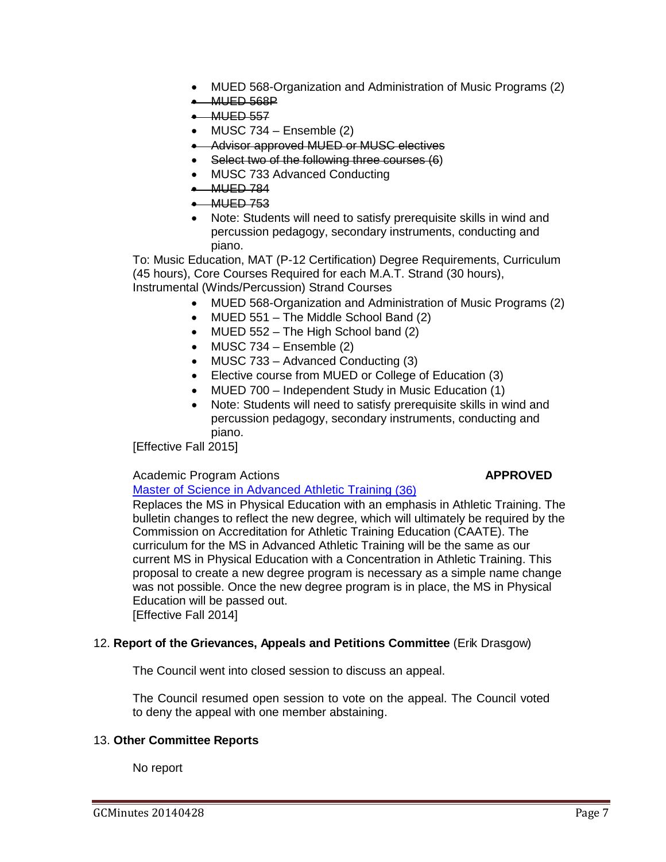- MUED 568-Organization and Administration of Music Programs (2)
- MUED 568P
- $•$  MUED 557
- MUSC  $734$  Ensemble  $(2)$
- Advisor approved MUED or MUSC electives
- Select two of the following three courses (6)
- MUSC 733 Advanced Conducting
- MUED 784
- MUED 753
- Note: Students will need to satisfy prerequisite skills in wind and percussion pedagogy, secondary instruments, conducting and piano.

To: Music Education, MAT (P-12 Certification) Degree Requirements, Curriculum (45 hours), Core Courses Required for each M.A.T. Strand (30 hours), Instrumental (Winds/Percussion) Strand Courses

- MUED 568-Organization and Administration of Music Programs (2)
- MUED 551 The Middle School Band (2)
- MUED 552 The High School band (2)
- MUSC  $734$  Ensemble  $(2)$
- MUSC 733 Advanced Conducting (3)
- Elective course from MUED or College of Education (3)
- MUED 700 Independent Study in Music Education (1)
- Note: Students will need to satisfy prerequisite skills in wind and percussion pedagogy, secondary instruments, conducting and piano.

[Effective Fall 2015]

### Academic Program Actions **APPROVED**

[Master of Science in Advanced Athletic Training](http://gradschool.sc.edu/facstaff/gradcouncil/2013/Master%20of%20Science%20in%20AthleticTraining%20APA_Redacted.pdf) (36)

Replaces the MS in Physical Education with an emphasis in Athletic Training. The bulletin changes to reflect the new degree, which will ultimately be required by the Commission on Accreditation for Athletic Training Education (CAATE). The curriculum for the MS in Advanced Athletic Training will be the same as our current MS in Physical Education with a Concentration in Athletic Training. This proposal to create a new degree program is necessary as a simple name change was not possible. Once the new degree program is in place, the MS in Physical Education will be passed out.

[Effective Fall 2014]

### 12. **Report of the Grievances, Appeals and Petitions Committee** (Erik Drasgow)

The Council went into closed session to discuss an appeal.

The Council resumed open session to vote on the appeal. The Council voted to deny the appeal with one member abstaining.

### 13. **Other Committee Reports**

No report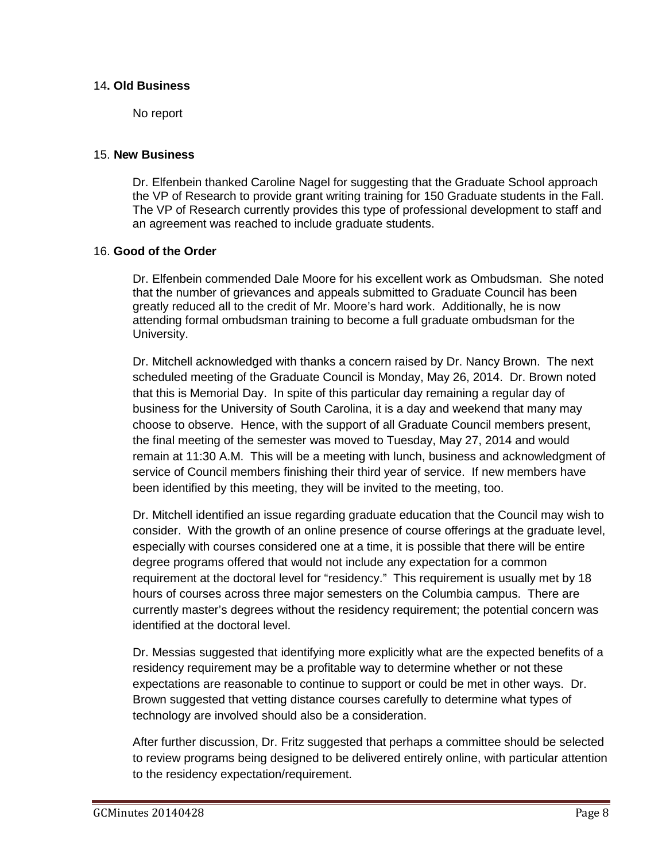#### 14**. Old Business**

No report

#### 15. **New Business**

Dr. Elfenbein thanked Caroline Nagel for suggesting that the Graduate School approach the VP of Research to provide grant writing training for 150 Graduate students in the Fall. The VP of Research currently provides this type of professional development to staff and an agreement was reached to include graduate students.

### 16. **Good of the Order**

Dr. Elfenbein commended Dale Moore for his excellent work as Ombudsman. She noted that the number of grievances and appeals submitted to Graduate Council has been greatly reduced all to the credit of Mr. Moore's hard work. Additionally, he is now attending formal ombudsman training to become a full graduate ombudsman for the University.

Dr. Mitchell acknowledged with thanks a concern raised by Dr. Nancy Brown. The next scheduled meeting of the Graduate Council is Monday, May 26, 2014. Dr. Brown noted that this is Memorial Day. In spite of this particular day remaining a regular day of business for the University of South Carolina, it is a day and weekend that many may choose to observe. Hence, with the support of all Graduate Council members present, the final meeting of the semester was moved to Tuesday, May 27, 2014 and would remain at 11:30 A.M. This will be a meeting with lunch, business and acknowledgment of service of Council members finishing their third year of service. If new members have been identified by this meeting, they will be invited to the meeting, too.

Dr. Mitchell identified an issue regarding graduate education that the Council may wish to consider. With the growth of an online presence of course offerings at the graduate level, especially with courses considered one at a time, it is possible that there will be entire degree programs offered that would not include any expectation for a common requirement at the doctoral level for "residency." This requirement is usually met by 18 hours of courses across three major semesters on the Columbia campus. There are currently master's degrees without the residency requirement; the potential concern was identified at the doctoral level.

Dr. Messias suggested that identifying more explicitly what are the expected benefits of a residency requirement may be a profitable way to determine whether or not these expectations are reasonable to continue to support or could be met in other ways. Dr. Brown suggested that vetting distance courses carefully to determine what types of technology are involved should also be a consideration.

After further discussion, Dr. Fritz suggested that perhaps a committee should be selected to review programs being designed to be delivered entirely online, with particular attention to the residency expectation/requirement.